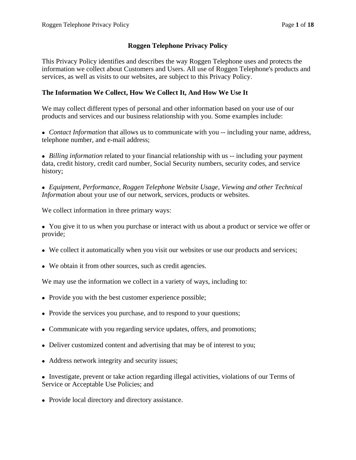### **Roggen Telephone Privacy Policy**

This Privacy Policy identifies and describes the way Roggen Telephone uses and protects the information we collect about Customers and Users. All use of Roggen Telephone's products and services, as well as visits to our websites, are subject to this Privacy Policy.

### **The Information We Collect, How We Collect It, And How We Use It**

We may collect different types of personal and other information based on your use of our products and services and our business relationship with you. Some examples include:

• *Contact Information* that allows us to communicate with you -- including your name, address, telephone number, and e-mail address;

• *Billing information* related to your financial relationship with us -- including your payment data, credit history, credit card number, Social Security numbers, security codes, and service history;

*Equipment, Performance, Roggen Telephone Website Usage, Viewing and other Technical Information* about your use of our network, services, products or websites.

We collect information in three primary ways:

• You give it to us when you purchase or interact with us about a product or service we offer or provide;

- We collect it automatically when you visit our websites or use our products and services;
- We obtain it from other sources, such as credit agencies.

We may use the information we collect in a variety of ways, including to:

- Provide you with the best customer experience possible;
- Provide the services you purchase, and to respond to your questions;
- Communicate with you regarding service updates, offers, and promotions;
- Deliver customized content and advertising that may be of interest to you;
- Address network integrity and security issues;

• Investigate, prevent or take action regarding illegal activities, violations of our Terms of Service or Acceptable Use Policies; and

• Provide local directory and directory assistance.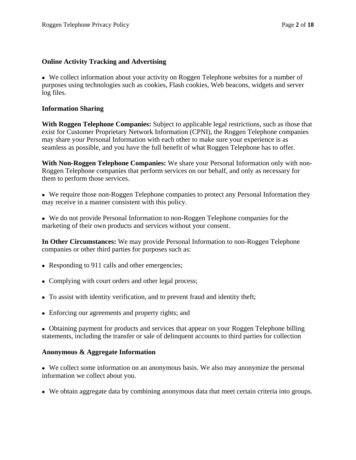### **Online Activity Tracking and Advertising**

We collect information about your activity on Roggen Telephone websites for a number of purposes using technologies such as cookies, Flash cookies, Web beacons, widgets and server log files.

### **Information Sharing**

**With Roggen Telephone Companies:** Subject to applicable legal restrictions, such as those that exist for Customer Proprietary Network Information (CPNI), the Roggen Telephone companies may share your Personal Information with each other to make sure your experience is as seamless as possible, and you have the full benefit of what Roggen Telephone has to offer.

**With Non-Roggen Telephone Companies:** We share your Personal Information only with non-Roggen Telephone companies that perform services on our behalf, and only as necessary for them to perform those services.

We require those non-Roggen Telephone companies to protect any Personal Information they may receive in a manner consistent with this policy.

We do not provide Personal Information to non-Roggen Telephone companies for the marketing of their own products and services without your consent.

**In Other Circumstances:** We may provide Personal Information to non-Roggen Telephone companies or other third parties for purposes such as:

- Responding to 911 calls and other emergencies;
- Complying with court orders and other legal process;
- To assist with identity verification, and to prevent fraud and identity theft;
- Enforcing our agreements and property rights; and

• Obtaining payment for products and services that appear on your Roggen Telephone billing statements, including the transfer or sale of delinquent accounts to third parties for collection

#### **Anonymous & Aggregate Information**

We collect some information on an anonymous basis. We also may anonymize the personal information we collect about you.

We obtain aggregate data by combining anonymous data that meet certain criteria into groups.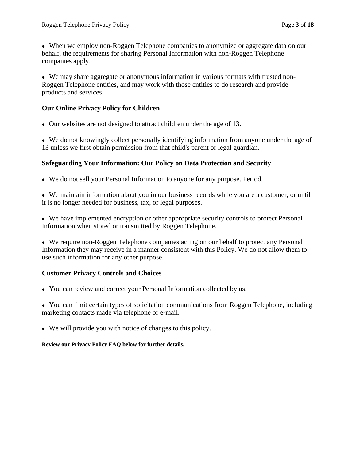When we employ non-Roggen Telephone companies to anonymize or aggregate data on our behalf, the requirements for sharing Personal Information with non-Roggen Telephone companies apply.

We may share aggregate or anonymous information in various formats with trusted non-Roggen Telephone entities, and may work with those entities to do research and provide products and services.

#### **Our Online Privacy Policy for Children**

Our websites are not designed to attract children under the age of 13.

We do not knowingly collect personally identifying information from anyone under the age of 13 unless we first obtain permission from that child's parent or legal guardian.

#### **Safeguarding Your Information: Our Policy on Data Protection and Security**

We do not sell your Personal Information to anyone for any purpose. Period.

We maintain information about you in our business records while you are a customer, or until it is no longer needed for business, tax, or legal purposes.

We have implemented encryption or other appropriate security controls to protect Personal Information when stored or transmitted by Roggen Telephone.

We require non-Roggen Telephone companies acting on our behalf to protect any Personal Information they may receive in a manner consistent with this Policy. We do not allow them to use such information for any other purpose.

#### **Customer Privacy Controls and Choices**

You can review and correct your Personal Information collected by us.

• You can limit certain types of solicitation communications from Roggen Telephone, including marketing contacts made via telephone or e-mail.

We will provide you with notice of changes to this policy.

#### **Review our Privacy Policy FAQ below for further details.**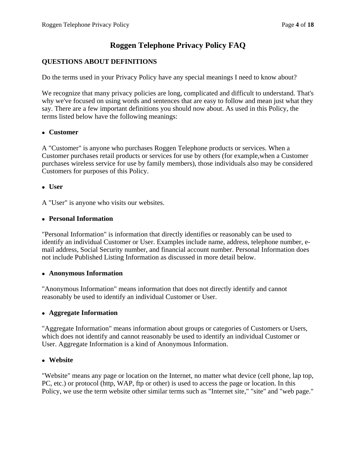# **Roggen Telephone Privacy Policy FAQ**

# **QUESTIONS ABOUT DEFINITIONS**

Do the terms used in your Privacy Policy have any special meanings I need to know about?

We recognize that many privacy policies are long, complicated and difficult to understand. That's why we've focused on using words and sentences that are easy to follow and mean just what they say. There are a few important definitions you should now about. As used in this Policy, the terms listed below have the following meanings:

#### **Customer**

A "Customer" is anyone who purchases Roggen Telephone products or services. When a Customer purchases retail products or services for use by others (for example,when a Customer purchases wireless service for use by family members), those individuals also may be considered Customers for purposes of this Policy.

#### **User**

A "User" is anyone who visits our websites.

#### **Personal Information**

"Personal Information" is information that directly identifies or reasonably can be used to identify an individual Customer or User. Examples include name, address, telephone number, email address, Social Security number, and financial account number. Personal Information does not include Published Listing Information as discussed in more detail below.

#### **Anonymous Information**

"Anonymous Information" means information that does not directly identify and cannot reasonably be used to identify an individual Customer or User.

#### **Aggregate Information**

"Aggregate Information" means information about groups or categories of Customers or Users, which does not identify and cannot reasonably be used to identify an individual Customer or User. Aggregate Information is a kind of Anonymous Information.

#### **Website**

"Website" means any page or location on the Internet, no matter what device (cell phone, lap top, PC, etc.) or protocol (http, WAP, ftp or other) is used to access the page or location. In this Policy, we use the term website other similar terms such as "Internet site," "site" and "web page."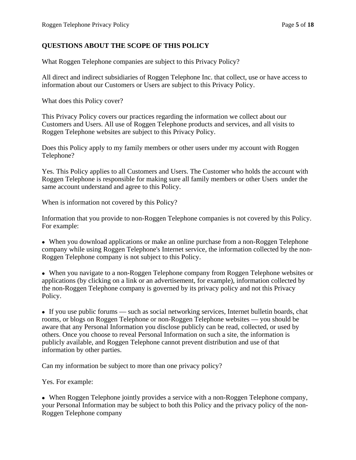#### **QUESTIONS ABOUT THE SCOPE OF THIS POLICY**

What Roggen Telephone companies are subject to this Privacy Policy?

All direct and indirect subsidiaries of Roggen Telephone Inc. that collect, use or have access to information about our Customers or Users are subject to this Privacy Policy.

What does this Policy cover?

This Privacy Policy covers our practices regarding the information we collect about our Customers and Users. All use of Roggen Telephone products and services, and all visits to Roggen Telephone websites are subject to this Privacy Policy.

Does this Policy apply to my family members or other users under my account with Roggen Telephone?

Yes. This Policy applies to all Customers and Users. The Customer who holds the account with Roggen Telephone is responsible for making sure all family members or other Users under the same account understand and agree to this Policy.

When is information not covered by this Policy?

Information that you provide to non-Roggen Telephone companies is not covered by this Policy. For example:

When you download applications or make an online purchase from a non-Roggen Telephone company while using Roggen Telephone's Internet service, the information collected by the non-Roggen Telephone company is not subject to this Policy.

When you navigate to a non-Roggen Telephone company from Roggen Telephone websites or applications (by clicking on a link or an advertisement, for example), information collected by the non-Roggen Telephone company is governed by its privacy policy and not this Privacy Policy.

If you use public forums — such as social networking services, Internet bulletin boards, chat rooms, or blogs on Roggen Telephone or non-Roggen Telephone websites — you should be aware that any Personal Information you disclose publicly can be read, collected, or used by others. Once you choose to reveal Personal Information on such a site, the information is publicly available, and Roggen Telephone cannot prevent distribution and use of that information by other parties.

Can my information be subject to more than one privacy policy?

Yes. For example:

When Roggen Telephone jointly provides a service with a non-Roggen Telephone company, your Personal Information may be subject to both this Policy and the privacy policy of the non-Roggen Telephone company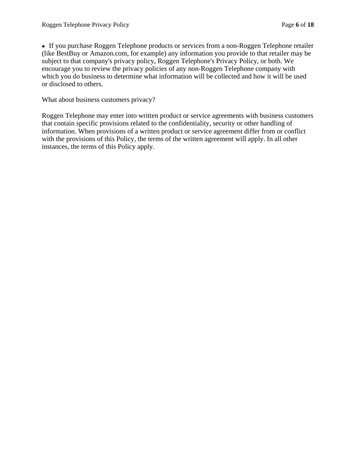• If you purchase Roggen Telephone products or services from a non-Roggen Telephone retailer (like BestBuy or Amazon.com, for example) any information you provide to that retailer may be subject to that company's privacy policy, Roggen Telephone's Privacy Policy, or both. We encourage you to review the privacy policies of any non-Roggen Telephone company with which you do business to determine what information will be collected and how it will be used or disclosed to others.

What about business customers privacy?

Roggen Telephone may enter into written product or service agreements with business customers that contain specific provisions related to the confidentiality, security or other handling of information. When provisions of a written product or service agreement differ from or conflict with the provisions of this Policy, the terms of the written agreement will apply. In all other instances, the terms of this Policy apply.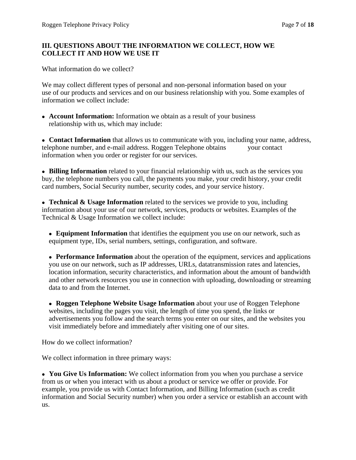## **III. QUESTIONS ABOUT THE INFORMATION WE COLLECT, HOW WE COLLECT IT AND HOW WE USE IT**

What information do we collect?

We may collect different types of personal and non-personal information based on your use of our products and services and on our business relationship with you. Some examples of information we collect include:

**Account Information:** Information we obtain as a result of your business relationship with us, which may include:

**Contact Information** that allows us to communicate with you, including your name, address, telephone number, and e-mail address. Roggen Telephone obtains your contact information when you order or register for our services.

**Billing Information** related to your financial relationship with us, such as the services you buy, the telephone numbers you call, the payments you make, your credit history, your credit card numbers, Social Security number, security codes, and your service history.

**Technical & Usage Information** related to the services we provide to you, including information about your use of our network, services, products or websites. Examples of the Technical & Usage Information we collect include:

**Equipment Information** that identifies the equipment you use on our network, such as equipment type, IDs, serial numbers, settings, configuration, and software.

**Performance Information** about the operation of the equipment, services and applications you use on our network, such as IP addresses, URLs, datatransmission rates and latencies, location information, security characteristics, and information about the amount of bandwidth and other network resources you use in connection with uploading, downloading or streaming data to and from the Internet.

**Roggen Telephone Website Usage Information** about your use of Roggen Telephone websites, including the pages you visit, the length of time you spend, the links or advertisements you follow and the search terms you enter on our sites, and the websites you visit immediately before and immediately after visiting one of our sites.

How do we collect information?

We collect information in three primary ways:

**You Give Us Information:** We collect information from you when you purchase a service from us or when you interact with us about a product or service we offer or provide. For example, you provide us with Contact Information, and Billing Information (such as credit information and Social Security number) when you order a service or establish an account with us.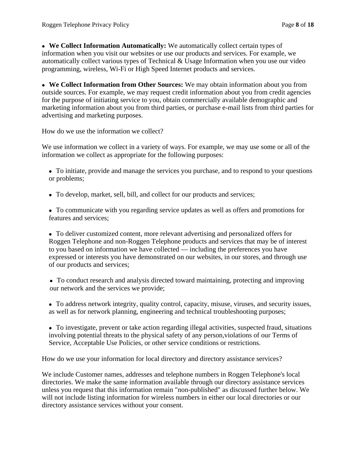**We Collect Information Automatically:** We automatically collect certain types of information when you visit our websites or use our products and services. For example, we automatically collect various types of Technical & Usage Information when you use our video programming, wireless, Wi-Fi or High Speed Internet products and services.

**We Collect Information from Other Sources:** We may obtain information about you from outside sources. For example, we may request credit information about you from credit agencies for the purpose of initiating service to you, obtain commercially available demographic and marketing information about you from third parties, or purchase e-mail lists from third parties for advertising and marketing purposes.

How do we use the information we collect?

We use information we collect in a variety of ways. For example, we may use some or all of the information we collect as appropriate for the following purposes:

- To initiate, provide and manage the services you purchase, and to respond to your questions or problems;
- To develop, market, sell, bill, and collect for our products and services;
- To communicate with you regarding service updates as well as offers and promotions for features and services;

To deliver customized content, more relevant advertising and personalized offers for Roggen Telephone and non-Roggen Telephone products and services that may be of interest to you based on information we have collected — including the preferences you have expressed or interests you have demonstrated on our websites, in our stores, and through use of our products and services;

- To conduct research and analysis directed toward maintaining, protecting and improving our network and the services we provide;
- To address network integrity, quality control, capacity, misuse, viruses, and security issues, as well as for network planning, engineering and technical troubleshooting purposes;
- To investigate, prevent or take action regarding illegal activities, suspected fraud, situations involving potential threats to the physical safety of any person,violations of our Terms of Service, Acceptable Use Policies, or other service conditions or restrictions.

How do we use your information for local directory and directory assistance services?

We include Customer names, addresses and telephone numbers in Roggen Telephone's local directories. We make the same information available through our directory assistance services unless you request that this information remain "non-published" as discussed further below. We will not include listing information for wireless numbers in either our local directories or our directory assistance services without your consent.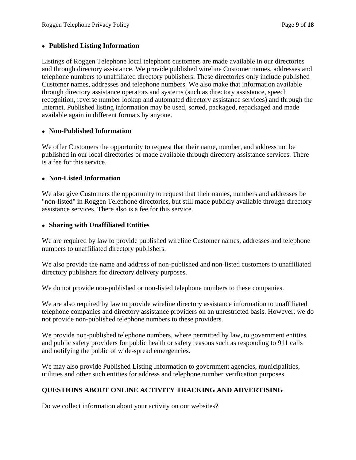#### **Published Listing Information**

Listings of Roggen Telephone local telephone customers are made available in our directories and through directory assistance. We provide published wireline Customer names, addresses and telephone numbers to unaffiliated directory publishers. These directories only include published Customer names, addresses and telephone numbers. We also make that information available through directory assistance operators and systems (such as directory assistance, speech recognition, reverse number lookup and automated directory assistance services) and through the Internet. Published listing information may be used, sorted, packaged, repackaged and made available again in different formats by anyone.

#### **Non-Published Information**

We offer Customers the opportunity to request that their name, number, and address not be published in our local directories or made available through directory assistance services. There is a fee for this service.

### **Non-Listed Information**

We also give Customers the opportunity to request that their names, numbers and addresses be "non-listed" in Roggen Telephone directories, but still made publicly available through directory assistance services. There also is a fee for this service.

### **Sharing with Unaffiliated Entities**

We are required by law to provide published wireline Customer names, addresses and telephone numbers to unaffiliated directory publishers.

We also provide the name and address of non-published and non-listed customers to unaffiliated directory publishers for directory delivery purposes.

We do not provide non-published or non-listed telephone numbers to these companies.

We are also required by law to provide wireline directory assistance information to unaffiliated telephone companies and directory assistance providers on an unrestricted basis. However, we do not provide non-published telephone numbers to these providers.

We provide non-published telephone numbers, where permitted by law, to government entities and public safety providers for public health or safety reasons such as responding to 911 calls and notifying the public of wide-spread emergencies.

We may also provide Published Listing Information to government agencies, municipalities, utilities and other such entities for address and telephone number verification purposes.

# **QUESTIONS ABOUT ONLINE ACTIVITY TRACKING AND ADVERTISING**

Do we collect information about your activity on our websites?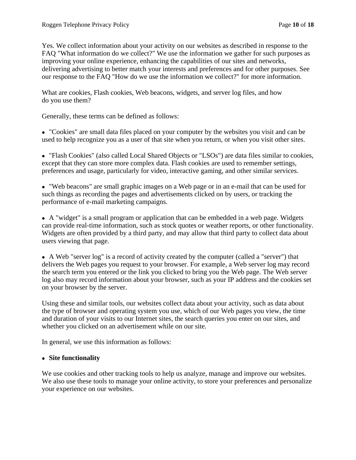Yes. We collect information about your activity on our websites as described in response to the FAQ "What information do we collect?" We use the information we gather for such purposes as improving your online experience, enhancing the capabilities of our sites and networks, delivering advertising to better match your interests and preferences and for other purposes. See our response to the FAQ "How do we use the information we collect?" for more information.

What are cookies, Flash cookies, Web beacons, widgets, and server log files, and how do you use them?

Generally, these terms can be defined as follows:

"Cookies" are small data files placed on your computer by the websites you visit and can be used to help recognize you as a user of that site when you return, or when you visit other sites.

"Flash Cookies" (also called Local Shared Objects or "LSOs") are data files similar to cookies, except that they can store more complex data. Flash cookies are used to remember settings, preferences and usage, particularly for video, interactive gaming, and other similar services.

"Web beacons" are small graphic images on a Web page or in an e-mail that can be used for such things as recording the pages and advertisements clicked on by users, or tracking the performance of e-mail marketing campaigns.

A "widget" is a small program or application that can be embedded in a web page. Widgets can provide real-time information, such as stock quotes or weather reports, or other functionality. Widgets are often provided by a third party, and may allow that third party to collect data about users viewing that page.

A Web "server log" is a record of activity created by the computer (called a "server") that delivers the Web pages you request to your browser. For example, a Web server log may record the search term you entered or the link you clicked to bring you the Web page. The Web server log also may record information about your browser, such as your IP address and the cookies set on your browser by the server.

Using these and similar tools, our websites collect data about your activity, such as data about the type of browser and operating system you use, which of our Web pages you view, the time and duration of your visits to our Internet sites, the search queries you enter on our sites, and whether you clicked on an advertisement while on our site.

In general, we use this information as follows:

#### **Site functionality**

We use cookies and other tracking tools to help us analyze, manage and improve our websites. We also use these tools to manage your online activity, to store your preferences and personalize your experience on our websites.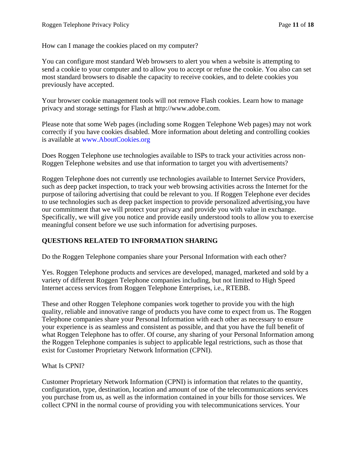How can I manage the cookies placed on my computer?

You can configure most standard Web browsers to alert you when a website is attempting to send a cookie to your computer and to allow you to accept or refuse the cookie. You also can set most standard browsers to disable the capacity to receive cookies, and to delete cookies you previously have accepted.

Your browser cookie management tools will not remove Flash cookies. Learn how to manage privacy and storage settings for Flash at http://www.adobe.com.

Please note that some Web pages (including some Roggen Telephone Web pages) may not work correctly if you have cookies disabled. More information about deleting and controlling cookies is available at www.AboutCookies.org

Does Roggen Telephone use technologies available to ISPs to track your activities across non-Roggen Telephone websites and use that information to target you with advertisements?

Roggen Telephone does not currently use technologies available to Internet Service Providers, such as deep packet inspection, to track your web browsing activities across the Internet for the purpose of tailoring advertising that could be relevant to you. If Roggen Telephone ever decides to use technologies such as deep packet inspection to provide personalized advertising,you have our commitment that we will protect your privacy and provide you with value in exchange. Specifically, we will give you notice and provide easily understood tools to allow you to exercise meaningful consent before we use such information for advertising purposes.

#### **QUESTIONS RELATED TO INFORMATION SHARING**

Do the Roggen Telephone companies share your Personal Information with each other?

Yes. Roggen Telephone products and services are developed, managed, marketed and sold by a variety of different Roggen Telephone companies including, but not limited to High Speed Internet access services from Roggen Telephone Enterprises, i.e., RTEBB.

These and other Roggen Telephone companies work together to provide you with the high quality, reliable and innovative range of products you have come to expect from us. The Roggen Telephone companies share your Personal Information with each other as necessary to ensure your experience is as seamless and consistent as possible, and that you have the full benefit of what Roggen Telephone has to offer. Of course, any sharing of your Personal Information among the Roggen Telephone companies is subject to applicable legal restrictions, such as those that exist for Customer Proprietary Network Information (CPNI).

#### What Is CPNI?

Customer Proprietary Network Information (CPNI) is information that relates to the quantity, configuration, type, destination, location and amount of use of the telecommunications services you purchase from us, as well as the information contained in your bills for those services. We collect CPNI in the normal course of providing you with telecommunications services. Your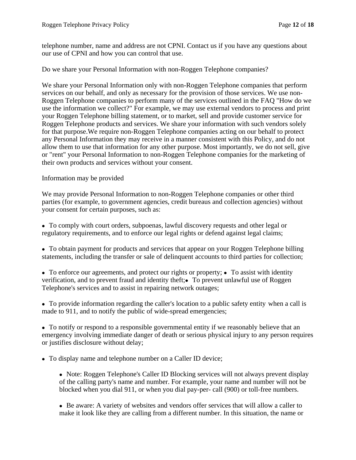telephone number, name and address are not CPNI. Contact us if you have any questions about our use of CPNI and how you can control that use.

Do we share your Personal Information with non-Roggen Telephone companies?

We share your Personal Information only with non-Roggen Telephone companies that perform services on our behalf, and only as necessary for the provision of those services. We use non-Roggen Telephone companies to perform many of the services outlined in the FAQ "How do we use the information we collect?" For example, we may use external vendors to process and print your Roggen Telephone billing statement, or to market, sell and provide customer service for Roggen Telephone products and services. We share your information with such vendors solely for that purpose.We require non-Roggen Telephone companies acting on our behalf to protect any Personal Information they may receive in a manner consistent with this Policy, and do not allow them to use that information for any other purpose. Most importantly, we do not sell, give or "rent" your Personal Information to non-Roggen Telephone companies for the marketing of their own products and services without your consent.

#### Information may be provided

We may provide Personal Information to non-Roggen Telephone companies or other third parties (for example, to government agencies, credit bureaus and collection agencies) without your consent for certain purposes, such as:

To comply with court orders, subpoenas, lawful discovery requests and other legal or regulatory requirements, and to enforce our legal rights or defend against legal claims;

To obtain payment for products and services that appear on your Roggen Telephone billing statements, including the transfer or sale of delinquent accounts to third parties for collection;

 $\bullet$  To enforce our agreements, and protect our rights or property;  $\bullet$  To assist with identity verification, and to prevent fraud and identity the ft; To prevent unlawful use of Roggen Telephone's services and to assist in repairing network outages;

To provide information regarding the caller's location to a public safety entity when a call is made to 911, and to notify the public of wide-spread emergencies;

To notify or respond to a responsible governmental entity if we reasonably believe that an emergency involving immediate danger of death or serious physical injury to any person requires or justifies disclosure without delay;

• To display name and telephone number on a Caller ID device;

• Note: Roggen Telephone's Caller ID Blocking services will not always prevent display of the calling party's name and number. For example, your name and number will not be blocked when you dial 911, or when you dial pay-per- call (900) or toll-free numbers.

Be aware: A variety of websites and vendors offer services that will allow a caller to make it look like they are calling from a different number. In this situation, the name or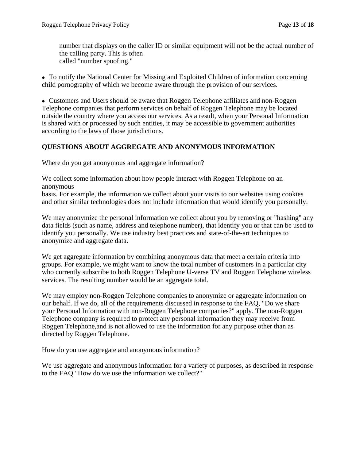number that displays on the caller ID or similar equipment will not be the actual number of the calling party. This is often called "number spoofing."

To notify the National Center for Missing and Exploited Children of information concerning child pornography of which we become aware through the provision of our services.

Customers and Users should be aware that Roggen Telephone affiliates and non-Roggen Telephone companies that perform services on behalf of Roggen Telephone may be located outside the country where you access our services. As a result, when your Personal Information is shared with or processed by such entities, it may be accessible to government authorities according to the laws of those jurisdictions.

# **QUESTIONS ABOUT AGGREGATE AND ANONYMOUS INFORMATION**

Where do you get anonymous and aggregate information?

We collect some information about how people interact with Roggen Telephone on an anonymous

basis. For example, the information we collect about your visits to our websites using cookies and other similar technologies does not include information that would identify you personally.

We may anonymize the personal information we collect about you by removing or "hashing" any data fields (such as name, address and telephone number), that identify you or that can be used to identify you personally. We use industry best practices and state-of-the-art techniques to anonymize and aggregate data.

We get aggregate information by combining anonymous data that meet a certain criteria into groups. For example, we might want to know the total number of customers in a particular city who currently subscribe to both Roggen Telephone U-verse TV and Roggen Telephone wireless services. The resulting number would be an aggregate total.

We may employ non-Roggen Telephone companies to anonymize or aggregate information on our behalf. If we do, all of the requirements discussed in response to the FAQ, "Do we share your Personal Information with non-Roggen Telephone companies?" apply. The non-Roggen Telephone company is required to protect any personal information they may receive from Roggen Telephone,and is not allowed to use the information for any purpose other than as directed by Roggen Telephone.

How do you use aggregate and anonymous information?

We use aggregate and anonymous information for a variety of purposes, as described in response to the FAQ "How do we use the information we collect?"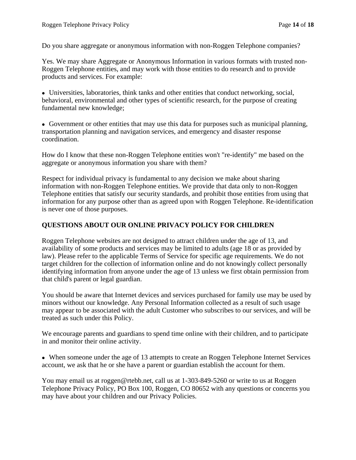Do you share aggregate or anonymous information with non-Roggen Telephone companies?

Yes. We may share Aggregate or Anonymous Information in various formats with trusted non-Roggen Telephone entities, and may work with those entities to do research and to provide products and services. For example:

Universities, laboratories, think tanks and other entities that conduct networking, social, behavioral, environmental and other types of scientific research, for the purpose of creating fundamental new knowledge;

Government or other entities that may use this data for purposes such as municipal planning, transportation planning and navigation services, and emergency and disaster response coordination.

How do I know that these non-Roggen Telephone entities won't "re-identify" me based on the aggregate or anonymous information you share with them?

Respect for individual privacy is fundamental to any decision we make about sharing information with non-Roggen Telephone entities. We provide that data only to non-Roggen Telephone entities that satisfy our security standards, and prohibit those entities from using that information for any purpose other than as agreed upon with Roggen Telephone. Re-identification is never one of those purposes.

### **QUESTIONS ABOUT OUR ONLINE PRIVACY POLICY FOR CHILDREN**

Roggen Telephone websites are not designed to attract children under the age of 13, and availability of some products and services may be limited to adults (age 18 or as provided by law). Please refer to the applicable Terms of Service for specific age requirements. We do not target children for the collection of information online and do not knowingly collect personally identifying information from anyone under the age of 13 unless we first obtain permission from that child's parent or legal guardian.

You should be aware that Internet devices and services purchased for family use may be used by minors without our knowledge. Any Personal Information collected as a result of such usage may appear to be associated with the adult Customer who subscribes to our services, and will be treated as such under this Policy.

We encourage parents and guardians to spend time online with their children, and to participate in and monitor their online activity.

When someone under the age of 13 attempts to create an Roggen Telephone Internet Services account, we ask that he or she have a parent or guardian establish the account for them.

You may email us at roggen@rtebb.net, call us at 1-303-849-5260 or write to us at Roggen Telephone Privacy Policy, PO Box 100, Roggen, CO 80652 with any questions or concerns you may have about your children and our Privacy Policies.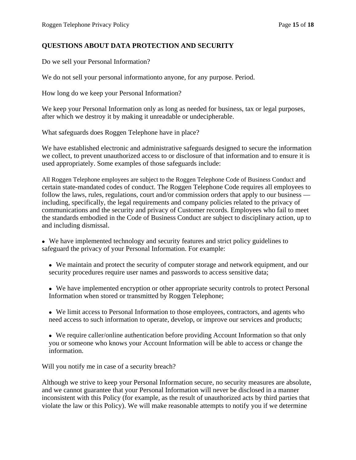#### **QUESTIONS ABOUT DATA PROTECTION AND SECURITY**

Do we sell your Personal Information?

We do not sell your personal informationto anyone, for any purpose. Period.

How long do we keep your Personal Information?

We keep your Personal Information only as long as needed for business, tax or legal purposes, after which we destroy it by making it unreadable or undecipherable.

What safeguards does Roggen Telephone have in place?

We have established electronic and administrative safeguards designed to secure the information we collect, to prevent unauthorized access to or disclosure of that information and to ensure it is used appropriately. Some examples of those safeguards include:

All Roggen Telephone employees are subject to the Roggen Telephone Code of Business Conduct and certain state-mandated codes of conduct. The Roggen Telephone Code requires all employees to follow the laws, rules, regulations, court and/or commission orders that apply to our business – including, specifically, the legal requirements and company policies related to the privacy of communications and the security and privacy of Customer records. Employees who fail to meet the standards embodied in the Code of Business Conduct are subject to disciplinary action, up to and including dismissal.

- We have implemented technology and security features and strict policy guidelines to safeguard the privacy of your Personal Information. For example:
	- We maintain and protect the security of computer storage and network equipment, and our security procedures require user names and passwords to access sensitive data;
	- We have implemented encryption or other appropriate security controls to protect Personal Information when stored or transmitted by Roggen Telephone;
	- We limit access to Personal Information to those employees, contractors, and agents who need access to such information to operate, develop, or improve our services and products;
	- We require caller/online authentication before providing Account Information so that only you or someone who knows your Account Information will be able to access or change the information.

Will you notify me in case of a security breach?

Although we strive to keep your Personal Information secure, no security measures are absolute, and we cannot guarantee that your Personal Information will never be disclosed in a manner inconsistent with this Policy (for example, as the result of unauthorized acts by third parties that violate the law or this Policy). We will make reasonable attempts to notify you if we determine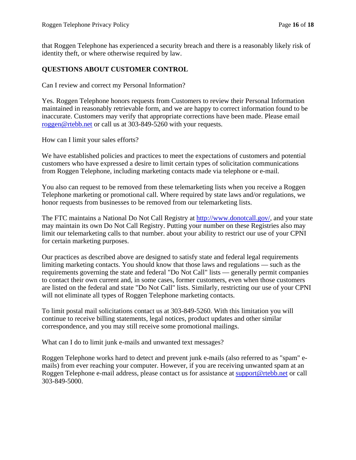that Roggen Telephone has experienced a security breach and there is a reasonably likely risk of identity theft, or where otherwise required by law.

### **QUESTIONS ABOUT CUSTOMER CONTROL**

Can I review and correct my Personal Information?

Yes. Roggen Telephone honors requests from Customers to review their Personal Information maintained in reasonably retrievable form, and we are happy to correct information found to be inaccurate. Customers may verify that appropriate corrections have been made. Please email roggen@rtebb.net or call us at 303-849-5260 with your requests.

How can I limit your sales efforts?

We have established policies and practices to meet the expectations of customers and potential customers who have expressed a desire to limit certain types of solicitation communications from Roggen Telephone, including marketing contacts made via telephone or e-mail.

You also can request to be removed from these telemarketing lists when you receive a Roggen Telephone marketing or promotional call. Where required by state laws and/or regulations, we honor requests from businesses to be removed from our telemarketing lists.

The FTC maintains a National Do Not Call Registry at http://www.donotcall.gov/, and your state may maintain its own Do Not Call Registry. Putting your number on these Registries also may limit our telemarketing calls to that number. about your ability to restrict our use of your CPNI for certain marketing purposes.

Our practices as described above are designed to satisfy state and federal legal requirements limiting marketing contacts. You should know that those laws and regulations — such as the requirements governing the state and federal "Do Not Call" lists — generally permit companies to contact their own current and, in some cases, former customers, even when those customers are listed on the federal and state "Do Not Call" lists. Similarly, restricting our use of your CPNI will not eliminate all types of Roggen Telephone marketing contacts.

To limit postal mail solicitations contact us at 303-849-5260. With this limitation you will continue to receive billing statements, legal notices, product updates and other similar correspondence, and you may still receive some promotional mailings.

What can I do to limit junk e-mails and unwanted text messages?

Roggen Telephone works hard to detect and prevent junk e-mails (also referred to as "spam" emails) from ever reaching your computer. However, if you are receiving unwanted spam at an Roggen Telephone e-mail address, please contact us for assistance at support@rtebb.net or call 303-849-5000.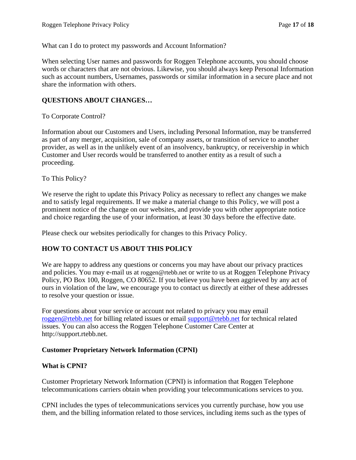What can I do to protect my passwords and Account Information?

When selecting User names and passwords for Roggen Telephone accounts, you should choose words or characters that are not obvious. Likewise, you should always keep Personal Information such as account numbers, Usernames, passwords or similar information in a secure place and not share the information with others.

### **QUESTIONS ABOUT CHANGES…**

To Corporate Control?

Information about our Customers and Users, including Personal Information, may be transferred as part of any merger, acquisition, sale of company assets, or transition of service to another provider, as well as in the unlikely event of an insolvency, bankruptcy, or receivership in which Customer and User records would be transferred to another entity as a result of such a proceeding.

To This Policy?

We reserve the right to update this Privacy Policy as necessary to reflect any changes we make and to satisfy legal requirements. If we make a material change to this Policy, we will post a prominent notice of the change on our websites, and provide you with other appropriate notice and choice regarding the use of your information, at least 30 days before the effective date.

Please check our websites periodically for changes to this Privacy Policy.

## **HOW TO CONTACT US ABOUT THIS POLICY**

We are happy to address any questions or concerns you may have about our privacy practices and policies. You may e-mail us at roggen@rtebb.net or write to us at Roggen Telephone Privacy Policy, PO Box 100, Roggen, CO 80652. If you believe you have been aggrieved by any act of ours in violation of the law, we encourage you to contact us directly at either of these addresses to resolve your question or issue.

For questions about your service or account not related to privacy you may email roggen@rtebb.net for billing related issues or email support@rtebb.net for technical related issues. You can also access the Roggen Telephone Customer Care Center at http://support.rtebb.net.

#### **Customer Proprietary Network Information (CPNI)**

#### **What is CPNI?**

Customer Proprietary Network Information (CPNI) is information that Roggen Telephone telecommunications carriers obtain when providing your telecommunications services to you.

CPNI includes the types of telecommunications services you currently purchase, how you use them, and the billing information related to those services, including items such as the types of